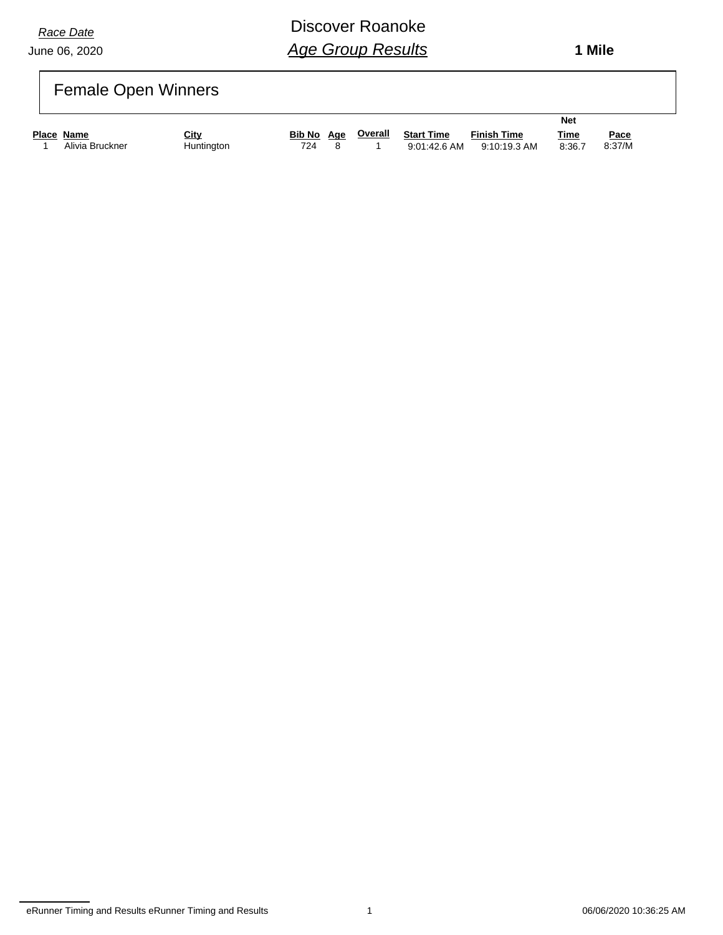June 06, 2020

# Discover Roanoke *Age Group Results*

 **1 Mile**

# Female Open Winners

|            |                 |             |            |         |                   |                    | <b>Net</b>  |             |
|------------|-----------------|-------------|------------|---------|-------------------|--------------------|-------------|-------------|
| Place Name |                 | <u>City</u> | Bib No Age | Overall | <b>Start Time</b> | <b>Finish Time</b> | <u>Time</u> | <u>Pace</u> |
|            | Alivia Bruckner | Huntington  | 724        |         | 9:01:42.6 AM      | 9:10:19.3 AM       | 8:36.7      | 8:37/M      |

eRunner Timing and Results eRunner Timing and Results 1 06/06/2020 10:36:25 AM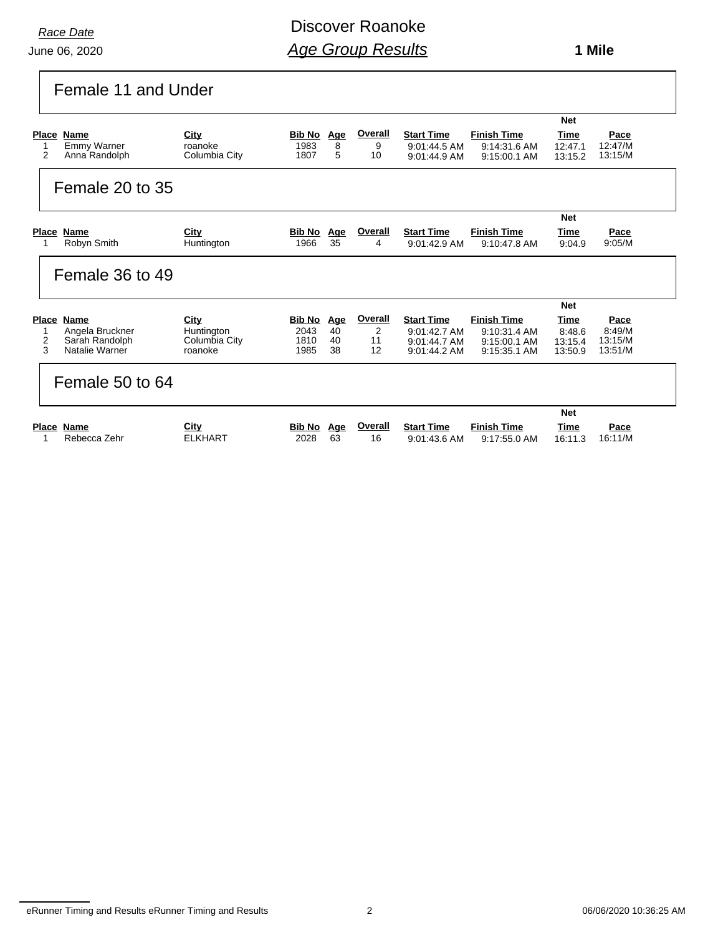#### June 06, 2020

# Discover Roanoke *Age Group Results*

 **1 Mile**

| Female 11 and Under                                 |                             |                    |          |                      |                                   |                                    |                    |                    |
|-----------------------------------------------------|-----------------------------|--------------------|----------|----------------------|-----------------------------------|------------------------------------|--------------------|--------------------|
|                                                     |                             |                    |          |                      |                                   |                                    | <b>Net</b>         |                    |
| Place Name                                          | City                        | Bib No             | Age      | Overall              | <b>Start Time</b>                 | <b>Finish Time</b>                 | <b>Time</b>        | Pace               |
| Emmy Warner<br>$\overline{2}$<br>Anna Randolph      | roanoke<br>Columbia City    | 1983<br>1807       | 8<br>5   | 9<br>10              | 9:01:44.5 AM<br>$9:01:44.9$ AM    | 9:14:31.6 AM<br>9:15:00.1 AM       | 12:47.1<br>13:15.2 | 12:47/M<br>13:15/M |
| Female 20 to 35                                     |                             |                    |          |                      |                                   |                                    |                    |                    |
|                                                     |                             |                    |          |                      |                                   |                                    | <b>Net</b>         |                    |
| Place Name                                          | City                        | <b>Bib No Age</b>  |          | Overall              | <b>Start Time</b>                 | <b>Finish Time</b>                 | Time               | Pace               |
| Robyn Smith                                         | Huntington                  | 1966               | 35       | 4                    | 9:01:42.9 AM                      | 9:10:47.8 AM                       | 9:04.9             | 9:05/M             |
| Female 36 to 49                                     |                             |                    |          |                      |                                   |                                    |                    |                    |
|                                                     |                             |                    |          |                      |                                   |                                    | <b>Net</b>         |                    |
| Name<br><b>Place</b>                                | City                        | Bib No Age         |          | Overall              | <b>Start Time</b>                 | <b>Finish Time</b>                 | Time               | Pace               |
| Angela Bruckner<br>$\overline{2}$<br>Sarah Randolph | Huntington<br>Columbia City | 2043<br>1810       | 40<br>40 | $\overline{2}$<br>11 | 9:01:42.7 AM<br>9:01:44.7 AM      | 9:10:31.4 AM<br>9:15:00.1 AM       | 8:48.6<br>13:15.4  | 8:49/M<br>13:15/M  |
| 3<br>Natalie Warner                                 | roanoke                     | 1985               | 38       | 12                   | $9:01:44.2$ AM                    | 9:15:35.1 AM                       | 13:50.9            | 13:51/M            |
| Female 50 to 64                                     |                             |                    |          |                      |                                   |                                    |                    |                    |
|                                                     |                             |                    |          |                      |                                   |                                    | <b>Net</b>         |                    |
| <b>Place Name</b><br>Rebecca Zehr<br>1              | City<br><b>ELKHART</b>      | Bib No Age<br>2028 | 63       | <b>Overall</b><br>16 | <b>Start Time</b><br>9:01:43.6 AM | <b>Finish Time</b><br>9:17:55.0 AM | Time<br>16:11.3    | Pace<br>16:11/M    |

eRunner Timing and Results eRunner Timing and Results 2 06/06/2020 10:36:25 AM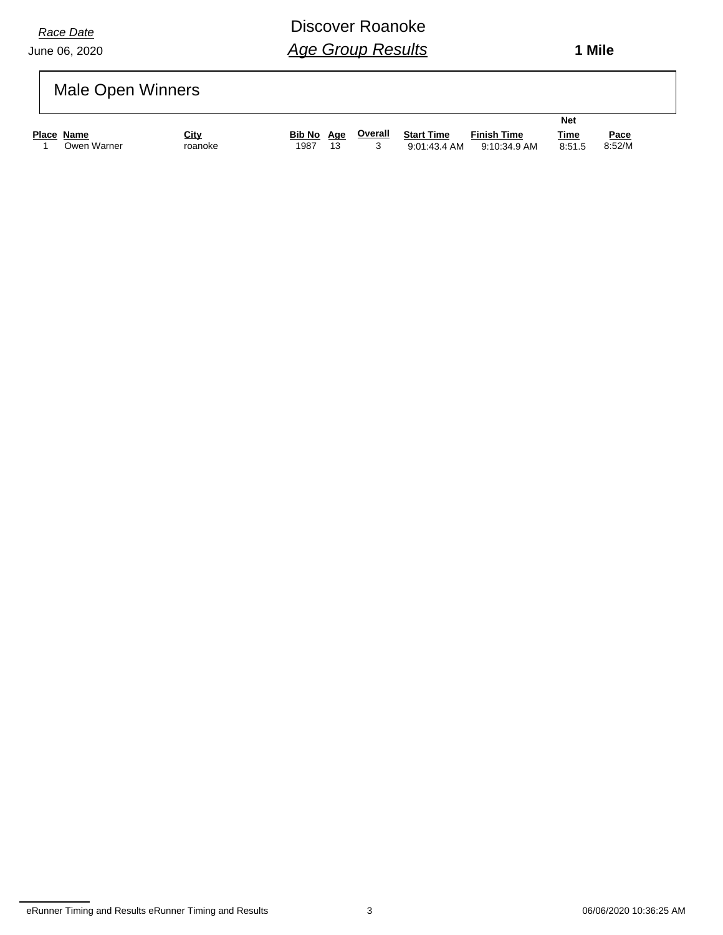June 06, 2020

# Discover Roanoke *Age Group Results*

 **1 Mile**

# Male Open Winners

|            |             |                        |                       |     |         |                                   |                                    | <b>Net</b>            |                |
|------------|-------------|------------------------|-----------------------|-----|---------|-----------------------------------|------------------------------------|-----------------------|----------------|
| Place Name | Owen Warner | <u>City</u><br>roanoke | <b>Bib No</b><br>1987 | Aae | Overall | <b>Start Time</b><br>9:01:43.4 AM | <b>Finish Time</b><br>9:10:34.9 AM | <u>Time</u><br>8:51.5 | Pace<br>8:52/M |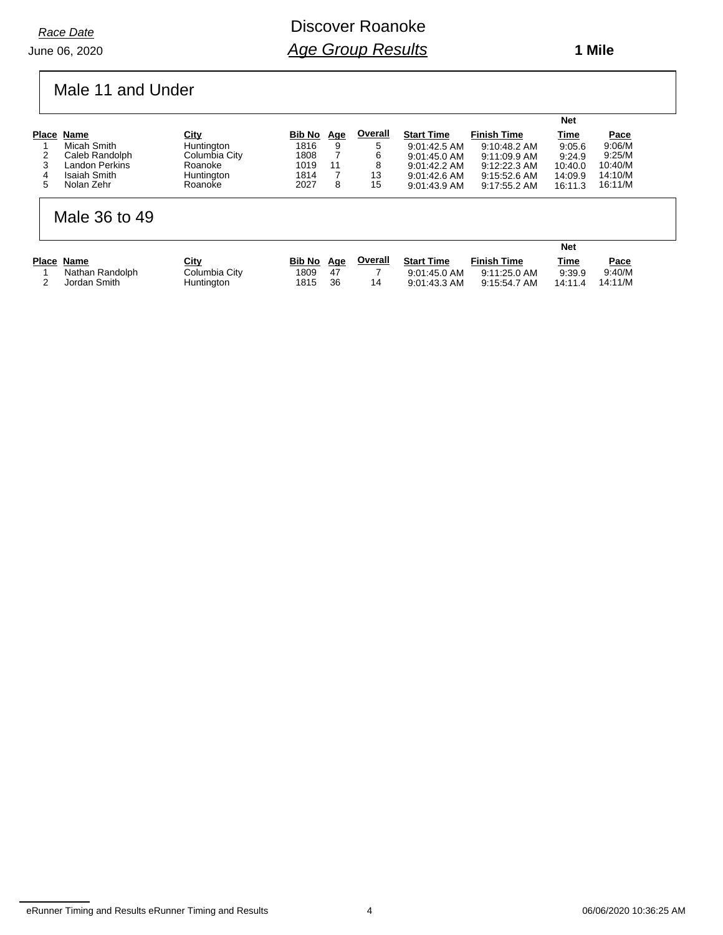Discover Roanoke *Age Group Results*

### Male 11 and Under

|                |               |        |            |                |                   |                    | <b>Net</b>  |         |
|----------------|---------------|--------|------------|----------------|-------------------|--------------------|-------------|---------|
| Place Name     | City          | Bib No | <u>Age</u> | <b>Overall</b> | <b>Start Time</b> | <b>Finish Time</b> | <u>Time</u> | Pace    |
| Micah Smith    | Huntington    | 1816   |            | 5              | $9:01:42.5$ AM    | 9:10:48.2 AM       | 9:05.6      | 9:06/M  |
| Caleb Randolph | Columbia City | 1808   |            | 6              | $9.01.45.0$ AM    | $9:11:09.9$ AM     | 9:24.9      | 9:25/M  |
| Landon Perkins | Roanoke       | 1019   |            | 8              | $9:01:42.2$ AM    | $9:12:22.3$ AM     | 10:40.0     | 10:40/M |
| Isaiah Smith   | Huntington    | 1814   |            | 13             | $9:01:42.6$ AM    | 9:15:52.6 AM       | 14:09.9     | 14:10/M |
| Nolan Zehr     | Roanoke       | 2027   |            | 15             | $9:01:43.9$ AM    | 9:17:55.2 AM       | 16:11.3     | 16:11/M |

#### Male 36 to 49

|                 |               |            |    |         |                   |                    | <b>Net</b>  |         |
|-----------------|---------------|------------|----|---------|-------------------|--------------------|-------------|---------|
| Place Name      | City          | Bib No Age |    | Overall | <b>Start Time</b> | <b>Finish Time</b> | <b>Time</b> | Pace    |
| Nathan Randolph | Columbia City | 1809       | 47 |         | $9:01:45.0$ AM    | 9:11:25.0 AM       | 9.39.9      | 9:40/M  |
| Jordan Smith    | Huntington    | 1815       | 36 | 14      | 9:01:43.3 AM      | 9:15:54.7 AM       | 14:11.4     | 14:11/M |

eRunner Timing and Results eRunner Timing and Results 4 4 1 and 100 m = 06/06/2020 10:36:25 AM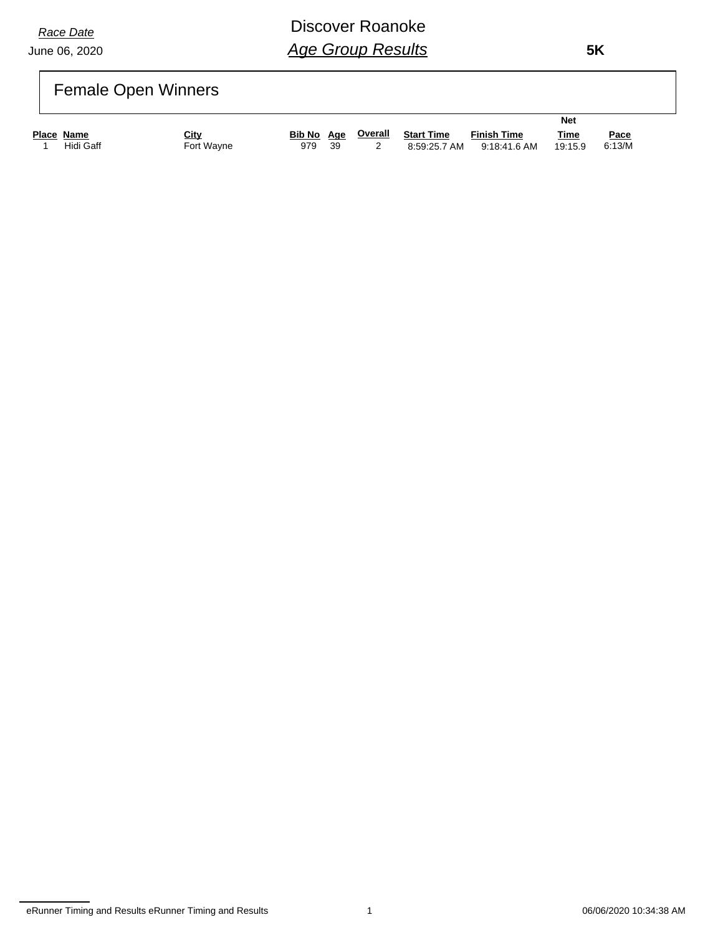#### June 06, 2020

# Discover Roanoke *Age Group Results*

 **5K**

# Female Open Winners

|            |            |     |     |                           |                   |                    | <b>Net</b>  |             |
|------------|------------|-----|-----|---------------------------|-------------------|--------------------|-------------|-------------|
| Place Name | City       |     |     | <b>Bib No</b> Age Overall | <b>Start Time</b> | <b>Finish Time</b> | <u>Time</u> | <u>Pace</u> |
| Hidi Gaff  | Fort Wayne | 979 | -39 |                           | 8:59:25.7 AM      | 9:18:41.6 AM       | 19:15.9     | 6:13/M      |

eRunner Timing and Results eRunner Timing and Results 1 06/06/2020 10:34:38 AM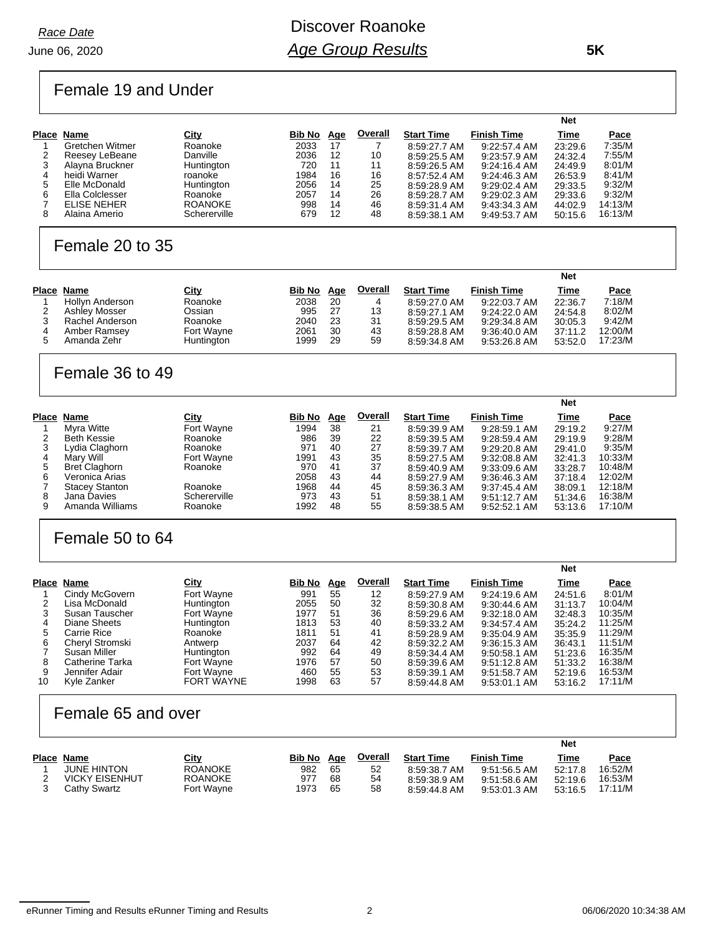#### June 06, 2020

# Discover Roanoke *Age Group Results*

 **5K**

### Female 19 and Under

|   |                 |                |        |            |         |                   |                    | <b>Net</b> |         |
|---|-----------------|----------------|--------|------------|---------|-------------------|--------------------|------------|---------|
|   | Place Name      | <u>City</u>    | Bib No | <u>Age</u> | Overall | <b>Start Time</b> | <b>Finish Time</b> | Time       | Pace    |
|   | Gretchen Witmer | Roanoke        | 2033   | 17         |         | 8:59:27.7 AM      | $9:22:57.4$ AM     | 23:29.6    | 7:35/M  |
|   | Reesey LeBeane  | Danville       | 2036   | 12         | 10      | 8:59:25.5 AM      | 9:23:57.9 AM       | 24:32.4    | 7:55/M  |
|   | Alayna Bruckner | Huntington     | 720    | 11         | 11      | 8:59:26.5 AM      | $9:24:16.4$ AM     | 24:49.9    | 8:01/M  |
| 4 | heidi Warner    | roanoke        | 1984   | 16         | 16      | 8:57:52.4 AM      | $9:24:46.3$ AM     | 26:53.9    | 8:41/M  |
| 5 | Elle McDonald   | Huntinaton     | 2056   | 14         | 25      | 8:59:28.9 AM      | $9:29:02.4$ AM     | 29:33.5    | 9:32/M  |
| 6 | Ella Colclesser | Roanoke        | 2057   | 14         | 26      | 8:59:28.7 AM      | $9:29:02.3$ AM     | 29:33.6    | 9:32/M  |
|   | ELISE NEHER     | <b>ROANOKE</b> | 998    | 14         | 46      | 8:59:31.4 AM      | 9:43:34.3 AM       | 44:02.9    | 14:13/M |
| 8 | Alaina Amerio   | Schererville   | 679    | 12         | 48      | 8:59:38.1 AM      | 9:49:53.7 AM       | 50:15.6    | 16:13/M |

#### Female 20 to 35

|                      |             |        |            |                |                   |                    | <b>Net</b>  |             |
|----------------------|-------------|--------|------------|----------------|-------------------|--------------------|-------------|-------------|
| Place Name           | <u>City</u> | Bib No | <u>Age</u> | <b>Overall</b> | <b>Start Time</b> | <b>Finish Time</b> | <b>Time</b> | <u>Pace</u> |
| Hollyn Anderson      | Roanoke     | 2038   | 20         | 4              | 8:59:27.0 AM      | 9:22:03.7 AM       | 22:36.7     | 7:18/M      |
| <b>Ashley Mosser</b> | Ossian      | 995    | -27        | 13             | 8:59:27.1 AM      | $9:24:22.0$ AM     | 24:54.8     | 8:02/M      |
| Rachel Anderson      | Roanoke     | 2040   | 23         | 31             | 8:59:29.5 AM      | 9:29:34.8 AM       | 30:05.3     | 9:42/M      |
| Amber Ramsey         | Fort Wayne  | 2061   | 30         | 43             | 8:59:28.8 AM      | 9:36:40.0 AM       | 37:11.2     | 12:00/M     |
| Amanda Zehr          | Huntington  | 1999   | 29         | 59             | 8:59:34.8 AM      | 9:53:26.8 AM       | 53:52.0     | 17:23/M     |

#### Female 36 to 49

|       |                       |              |        |            |         |                   |                    | <b>Net</b> |         |
|-------|-----------------------|--------------|--------|------------|---------|-------------------|--------------------|------------|---------|
| Place | Name                  | <u>City</u>  | Bib No | <u>Age</u> | Overall | <b>Start Time</b> | <b>Finish Time</b> | Time       | Pace    |
|       | Myra Witte            | Fort Wayne   | 1994   | 38         | 21      | 8:59:39.9 AM      | 9:28:59.1 AM       | 29:19.2    | 9:27/M  |
| 2     | <b>Beth Kessie</b>    | Roanoke      | 986    | 39         | 22      | 8:59:39.5 AM      | 9:28:59.4 AM       | 29:19.9    | 9:28/M  |
|       | Lydia Claghorn        | Roanoke      | 971    | 40         | 27      | 8:59:39.7 AM      | 9:29:20.8 AM       | 29:41.0    | 9:35/M  |
| 4     | Marv Will             | Fort Wayne   | 1991   | 43         | 35      | 8:59:27.5 AM      | 9:32:08.8 AM       | 32:41.3    | 10:33/M |
| 5     | <b>Bret Claghorn</b>  | Roanoke      | 970    | 41         | 37      | 8:59:40.9 AM      | 9:33:09.6 AM       | 33.28.7    | 10:48/M |
| 6     | Veronica Arias        |              | 2058   | 43         | 44      | 8:59:27.9 AM      | 9:36:46.3 AM       | 37:18.4    | 12:02/M |
|       | <b>Stacey Stanton</b> | Roanoke      | 1968   | 44         | 45      | 8:59:36.3 AM      | $9:37:45.4$ AM     | 38:09.1    | 12:18/M |
| 8     | Jana Davies           | Schererville | 973    | 43         | 51      | 8:59:38.1 AM      | $9:51:12.7$ AM     | 51:34.6    | 16:38/M |
| 9     | Amanda Williams       | Roanoke      | 1992   | 48         | 55      | 8:59:38.5 AM      | 9:52:52.1 AM       | 53:13.6    | 17:10/M |

### Female 50 to 64

|                 |                   |        |            |         |                   |                    | <b>Net</b> |         |
|-----------------|-------------------|--------|------------|---------|-------------------|--------------------|------------|---------|
| Place<br>Name   | <b>City</b>       | Bib No | <u>Age</u> | Overall | <b>Start Time</b> | <b>Finish Time</b> | Time       | Pace    |
| Cindy McGovern  | Fort Wayne        | 991    | 55         | 12      | 8:59:27.9 AM      | 9:24:19.6 AM       | 24:51.6    | 8:01/M  |
| Lisa McDonald   | Huntington        | 2055   | 50         | 32      | 8:59:30.8 AM      | 9:30:44.6 AM       | 31:13.7    | 10:04/M |
| Susan Tauscher  | Fort Wayne        | 1977   | 51         | 36      | 8:59:29.6 AM      | $9:32:18.0$ AM     | 32:48.3    | 10:35/M |
| Diane Sheets    | Huntington        | 1813   | 53         | 40      | 8:59:33.2 AM      | $9.34.57.4$ AM     | 35:24.2    | 11:25/M |
| Carrie Rice     | Roanoke           | 1811   | 51         | 41      | 8:59:28.9 AM      | 9:35:04.9 AM       | 35:35.9    | 11:29/M |
| Cheryl Stromski | Antwerp           | 2037   | 64         | 42      | 8:59:32.2 AM      | 9:36:15.3 AM       | 36:43.1    | 11:51/M |
| Susan Miller    | Huntington        | 992    | 64         | 49      | 8:59:34.4 AM      | 9:50:58.1 AM       | 51:23.6    | 16:35/M |
| Catherine Tarka | Fort Wayne        | 1976   | 57         | 50      | 8:59:39.6 AM      | 9.51.12.8 AM       | 51:33.2    | 16:38/M |
| Jennifer Adair  | Fort Wayne        | 460    | 55         | 53      | 8:59:39.1 AM      | 9.51.58.7 AM       | 52:19.6    | 16:53/M |
| Kyle Zanker     | <b>FORT WAYNE</b> | 1998   | 63         | 57      | 8:59:44.8 AM      | 9.53.01.1 AM       | 53:16.2    | 17:11/M |
|                 |                   |        |            |         |                   |                    |            |         |

#### Female 65 and over

|                       |                |            |    |         |                   |                    | <b>Net</b> |         |
|-----------------------|----------------|------------|----|---------|-------------------|--------------------|------------|---------|
| Place Name            | <u>City</u>    | Bib No Age |    | Overall | <b>Start Time</b> | <b>Finish Time</b> | Time       | Pace    |
| <b>JUNE HINTON</b>    | <b>ROANOKE</b> | 982        | 65 | 52      | 8:59:38.7 AM      | 9:51:56.5 AM       | 52:17.8    | 16:52/M |
| <b>VICKY EISENHUT</b> | <b>ROANOKE</b> | 977        | 68 | 54      | 8:59:38.9 AM      | 9:51:58.6 AM       | 52:19.6    | 16:53/M |
| Cathy Swartz          | Fort Wavne     | 1973       | 65 | 58      | 8:59:44.8 AM      | 9:53:01.3 AM       | 53:16.5    | 17:11/M |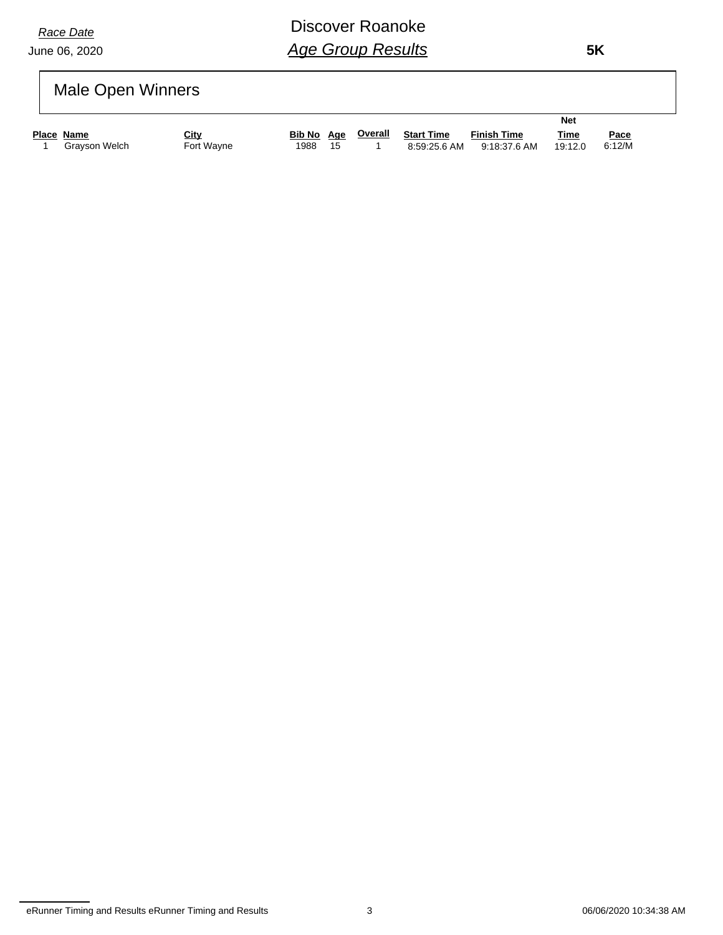June 06, 2020

# Discover Roanoke *Age Group Results*

 **5K**

# Male Open Winners

|                             |                    |      |    |                           |                            |                                    | <b>Net</b>             |                       |
|-----------------------------|--------------------|------|----|---------------------------|----------------------------|------------------------------------|------------------------|-----------------------|
| Place Name<br>Gravson Welch | City<br>Fort Wavne | 1988 | 15 | <b>Bib No</b> Age Overall | Start Time<br>8:59:25.6 AM | <b>Finish Time</b><br>9:18:37.6 AM | <u>Time</u><br>19:12.0 | <u>Pace</u><br>6:12/M |
|                             |                    |      |    |                           |                            |                                    |                        |                       |

eRunner Timing and Results eRunner Timing and Results 3 06/06/2020 10:34:38 AM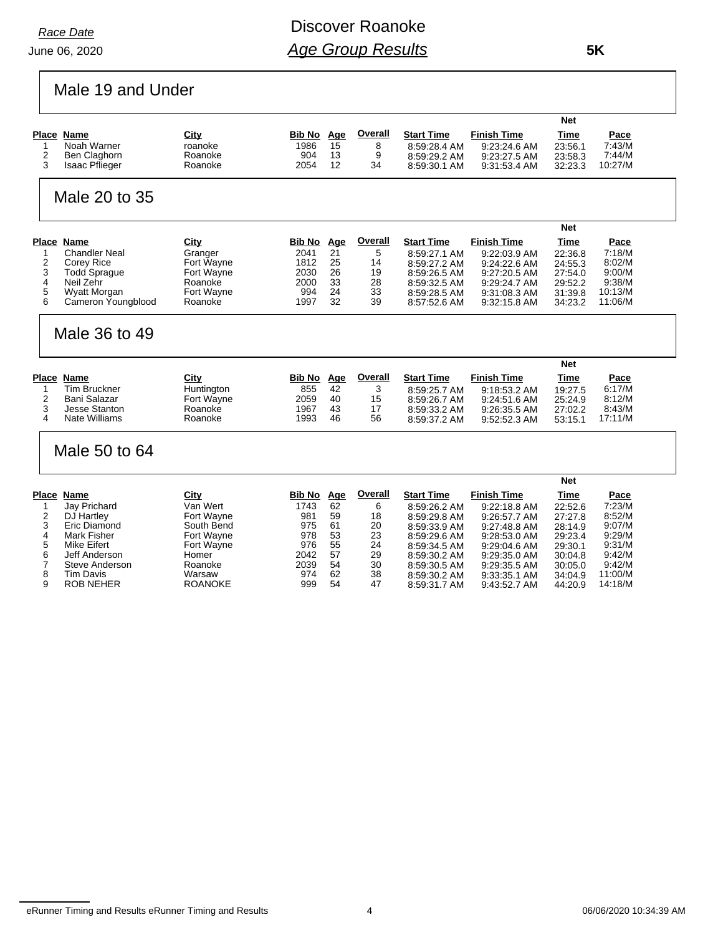June 06, 2020 *Race Date*

# Discover Roanoke *Age Group Results*

Male 19 and Under

|                   |                                              |                       |               |          |          |                              |                              | <b>Net</b>         |                  |
|-------------------|----------------------------------------------|-----------------------|---------------|----------|----------|------------------------------|------------------------------|--------------------|------------------|
|                   | Place Name                                   | City                  | Bib No        | Age      | Overall  | <b>Start Time</b>            | Finish Time                  | Time               | Pace             |
| $\mathbf{1}$<br>2 | Noah Warner                                  | roanoke               | 1986          | 15       | 8        | 8:59:28.4 AM                 | 9:23:24.6 AM                 | 23:56.1            | 7:43/M<br>7:44/M |
| 3                 | <b>Ben Claghorn</b><br><b>Isaac Pflieger</b> | Roanoke<br>Roanoke    | 904<br>2054   | 13<br>12 | 9<br>34  | 8:59:29.2 AM                 | 9:23:27.5 AM                 | 23:58.3            | 10:27/M          |
|                   |                                              |                       |               |          |          | 8.59.30.1 AM                 | 9.31.53.4 AM                 | 32:23.3            |                  |
|                   | Male 20 to 35                                |                       |               |          |          |                              |                              |                    |                  |
|                   |                                              |                       |               |          |          |                              |                              | <b>Net</b>         |                  |
|                   | Place Name                                   | City                  | <b>Bib No</b> | Age      | Overall  | <b>Start Time</b>            | <b>Finish Time</b>           | Time               | Pace             |
| $\mathbf{1}$      | <b>Chandler Neal</b>                         | Granger               | 2041          | 21       | 5        | 8:59:27.1 AM                 | 9:22:03.9 AM                 | 22:36.8            | 7:18/M           |
| 2                 | Corey Rice                                   | Fort Wayne            | 1812          | 25<br>26 | 14       | 8:59:27.2 AM                 | 9:24:22.6 AM                 | 24:55.3            | 8:02/M<br>9:00/M |
| 3<br>4            | <b>Todd Sprague</b><br>Neil Zehr             | Fort Wayne<br>Roanoke | 2030<br>2000  | 33       | 19<br>28 | 8:59:26.5 AM                 | 9:27:20.5 AM                 | 27:54.0<br>29:52.2 | 9:38/M           |
| 5                 | <b>Wyatt Morgan</b>                          | Fort Wayne            | 994           | 24       | 33       | 8:59:32.5 AM<br>8:59:28.5 AM | 9:29:24.7 AM<br>9.31.08.3 AM | 31:39.8            | 10:13/M          |
| 6                 | Cameron Youngblood                           | Roanoke               | 1997          | 32       | 39       | 8.57.52.6 AM                 | 9:32:15.8 AM                 | 34:23.2            | 11:06/M          |
|                   |                                              |                       |               |          |          |                              |                              |                    |                  |
|                   | Male 36 to 49                                |                       |               |          |          |                              |                              |                    |                  |
|                   |                                              |                       |               |          |          |                              |                              |                    |                  |
|                   |                                              |                       |               |          |          |                              |                              | <b>Net</b>         |                  |
|                   | Place Name                                   | City                  | <b>Bib No</b> | Age      | Overall  | <b>Start Time</b>            | <b>Finish Time</b>           | Time               | Pace             |
| $\mathbf{1}$      | <b>Tim Bruckner</b>                          | Huntington            | 855           | 42       | 3        | 8:59:25.7 AM                 | 9:18:53.2 AM                 | 19:27.5            | 6:17/M           |
| $\overline{2}$    | Bani Salazar                                 | Fort Wayne            | 2059          | 40       | 15       | 8:59:26.7 AM                 | 9:24:51.6 AM                 | 25:24.9            | 8:12/M           |
| 3                 | <b>Jesse Stanton</b>                         | Roanoke               | 1967          | 43       | 17       | 8:59:33.2 AM                 | 9:26:35.5 AM                 | 27:02.2            | 8:43/M           |
| 4                 | <b>Nate Williams</b>                         | Roanoke               | 1993          | 46       | 56       | 8:59:37.2 AM                 | 9:52:52.3 AM                 | 53:15.1            | 17:11/M          |
|                   | Male 50 to 64                                |                       |               |          |          |                              |                              |                    |                  |
|                   |                                              |                       |               |          |          |                              |                              |                    |                  |
|                   |                                              |                       |               |          |          |                              |                              | <b>Net</b>         |                  |
|                   | Place Name                                   | City                  | <b>Bib No</b> | Age      | Overall  | <b>Start Time</b>            | <b>Finish Time</b>           | Time               | Pace             |
| -1                | Jav Prichard                                 | Van Wert              | 1743          | 62       | 6        | 8:59:26.2 AM                 | 9:22:18.8 AM                 | 22:52.6            | 7:23/M           |
| 2                 | DJ Hartley                                   | Fort Wavne            | 981           | 59       | 18       | 8:59:29.8 AM                 | 9.26.57.7 AM                 | 27:27.8            | 8:52/M           |
| 3                 | Eric Diamond                                 | South Bend            | 975           | 61       | 20       | 8:59:33.9 AM                 | 9:27:48.8 AM                 | 28:14.9            | 9:07/M           |
| 4<br>5            | <b>Mark Fisher</b><br><b>Mike Eifert</b>     | Fort Wayne            | 978<br>976    | 53<br>55 | 23<br>24 | 8:59:29.6 AM                 | 9:28:53.0 AM                 | 29:23.4            | 9:29/M<br>9:31/M |
| 6                 | Jeff Anderson                                | Fort Wayne<br>Homer   | 2042          | 57       | 29       | 8:59:34.5 AM<br>8:59:30.2 AM | 9:29:04.6 AM<br>9:29:35.0 AM | 29:30.1<br>30:04.8 | 9:42/M           |
| 7                 | Steve Anderson                               | Roanoke               | 2039          | 54       | 30       | 8:59:30.5 AM                 | 9:29:35.5 AM                 | 30:05.0            | 9:42/M           |
| 8                 | <b>Tim Davis</b>                             | Warsaw                | 974           | 62       | 38       | 8:59:30.2 AM                 | 9:33:35.1 AM                 | 34:04.9            | 11:00/M          |
| 9                 | <b>ROB NEHER</b>                             | <b>ROANOKE</b>        | 999           | 54       | 47       | 8.59.31.7 AM                 | 9:43:52.7 AM                 | 44:20.9            | 14:18/M          |

eRunner Timing and Results eRunner Timing and Results 4 4 1 and 106/06/2020 10:34:39 AM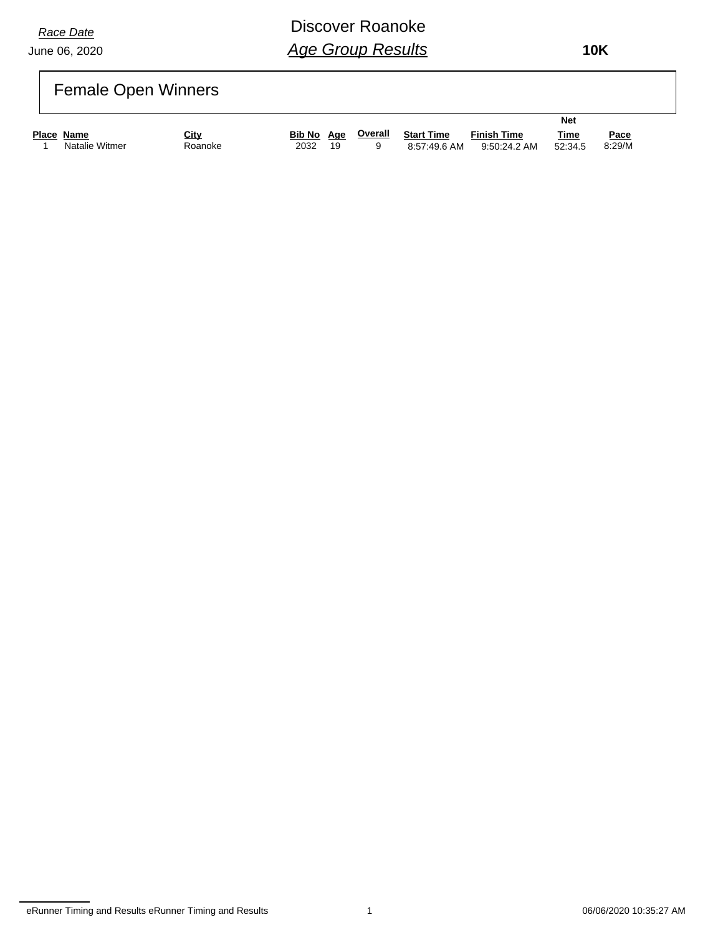June 06, 2020

# Discover Roanoke *Age Group Results*

 **10K**

# Female Open Winners

|                   |         |            |    |         |                   | Net                |             |             |
|-------------------|---------|------------|----|---------|-------------------|--------------------|-------------|-------------|
| <b>Place Name</b> | City    | Bib No Age |    | Overall | <b>Start Time</b> | <b>Finish Time</b> | <b>Time</b> | <u>Pace</u> |
| Natalie Witmer    | Roanoke | 2032       | 19 |         | 8:57:49.6 AM      | 9:50:24.2 AM       | 52:34.5     | 8:29/M      |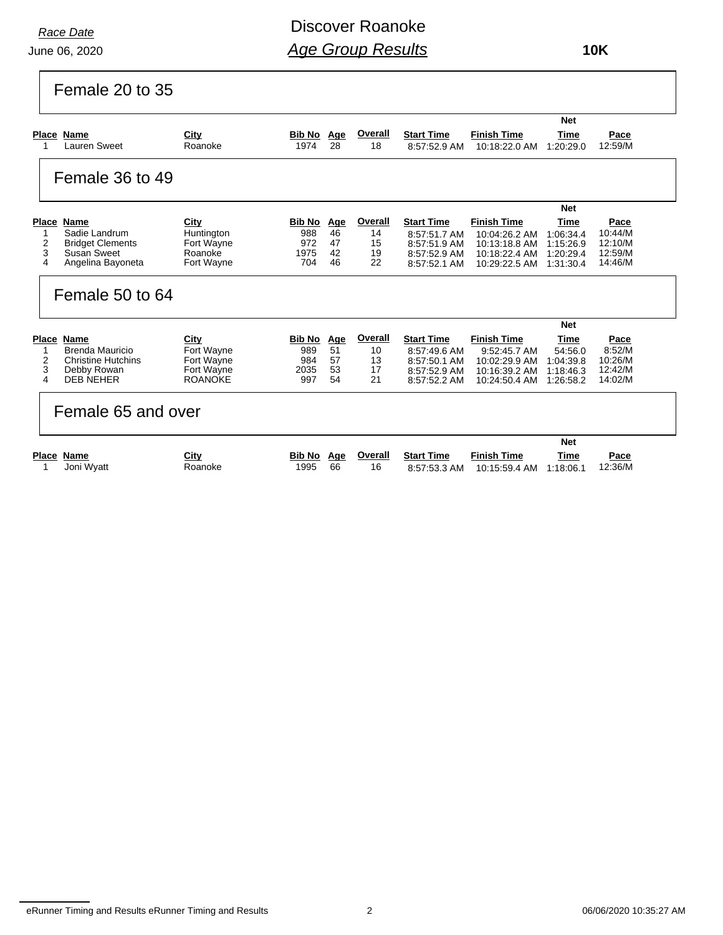June 06, 2020 *Race Date*

Discover Roanoke *Age Group Results*

 **10K**

| Female 20 to 35                                                                                                     |                                                                  |                                            |                             |                                 |                                                                                   |                                                                                        |                                                          |                                                  |
|---------------------------------------------------------------------------------------------------------------------|------------------------------------------------------------------|--------------------------------------------|-----------------------------|---------------------------------|-----------------------------------------------------------------------------------|----------------------------------------------------------------------------------------|----------------------------------------------------------|--------------------------------------------------|
|                                                                                                                     |                                                                  |                                            |                             |                                 |                                                                                   |                                                                                        | <b>Net</b>                                               |                                                  |
| Place Name<br>Lauren Sweet                                                                                          | City<br>Roanoke                                                  | <b>Bib No</b><br>1974                      | <u>Age</u><br>28            | Overall<br>18                   | <b>Start Time</b><br>8:57:52.9 AM                                                 | <b>Finish Time</b><br>10:18:22.0 AM                                                    | Time<br>1:20:29.0                                        | Pace<br>12:59/M                                  |
| Female 36 to 49                                                                                                     |                                                                  |                                            |                             |                                 |                                                                                   |                                                                                        |                                                          |                                                  |
|                                                                                                                     |                                                                  |                                            |                             |                                 |                                                                                   |                                                                                        | <b>Net</b>                                               |                                                  |
| Place Name<br>Sadie Landrum<br>1<br>2<br><b>Bridget Clements</b><br>3<br>Susan Sweet<br>4<br>Angelina Bayoneta      | City<br>Huntington<br>Fort Wayne<br>Roanoke<br>Fort Wayne        | <b>Bib No</b><br>988<br>972<br>1975<br>704 | Age<br>46<br>47<br>42<br>46 | Overall<br>14<br>15<br>19<br>22 | <b>Start Time</b><br>8:57:51.7 AM<br>8:57:51.9 AM<br>8:57:52.9 AM<br>8:57:52.1 AM | <b>Finish Time</b><br>10:04:26.2 AM<br>10:13:18.8 AM<br>10:18:22.4 AM<br>10:29:22.5 AM | Time<br>1:06:34.4<br>1:15:26.9<br>1:20:29.4<br>1:31:30.4 | Pace<br>10:44/M<br>12:10/M<br>12:59/M<br>14:46/M |
| Female 50 to 64                                                                                                     |                                                                  |                                            |                             |                                 |                                                                                   |                                                                                        |                                                          |                                                  |
|                                                                                                                     |                                                                  |                                            |                             |                                 |                                                                                   |                                                                                        | <b>Net</b>                                               |                                                  |
| <b>Place Name</b><br>Brenda Mauricio<br>2<br><b>Christine Hutchins</b><br>3<br>Debby Rowan<br>4<br><b>DEB NEHER</b> | City<br>Fort Wayne<br>Fort Wayne<br>Fort Wayne<br><b>ROANOKE</b> | <b>Bib No</b><br>989<br>984<br>2035<br>997 | Age<br>51<br>57<br>53<br>54 | Overall<br>10<br>13<br>17<br>21 | <b>Start Time</b><br>8:57:49.6 AM<br>8:57:50.1 AM<br>8:57:52.9 AM<br>8:57:52.2 AM | <b>Finish Time</b><br>9:52:45.7 AM<br>10:02:29.9 AM<br>10:16:39.2 AM<br>10:24:50.4 AM  | Time<br>54:56.0<br>1:04:39.8<br>1:18:46.3<br>1:26:58.2   | Pace<br>8:52/M<br>10:26/M<br>12:42/M<br>14:02/M  |
| Female 65 and over                                                                                                  |                                                                  |                                            |                             |                                 |                                                                                   |                                                                                        |                                                          |                                                  |
|                                                                                                                     |                                                                  |                                            |                             |                                 |                                                                                   |                                                                                        | <b>Net</b>                                               |                                                  |
| <b>Place Name</b><br>Joni Wyatt<br>1                                                                                | City<br>Roanoke                                                  | Bib No<br>1995                             | Age<br>66                   | Overall<br>16                   | <b>Start Time</b><br>8:57:53.3 AM                                                 | <b>Finish Time</b><br>10:15:59.4 AM                                                    | Time<br>1:18:06.1                                        | Pace<br>12:36/M                                  |

eRunner Timing and Results eRunner Timing and Results 2 06/06/2020 10:35:27 AM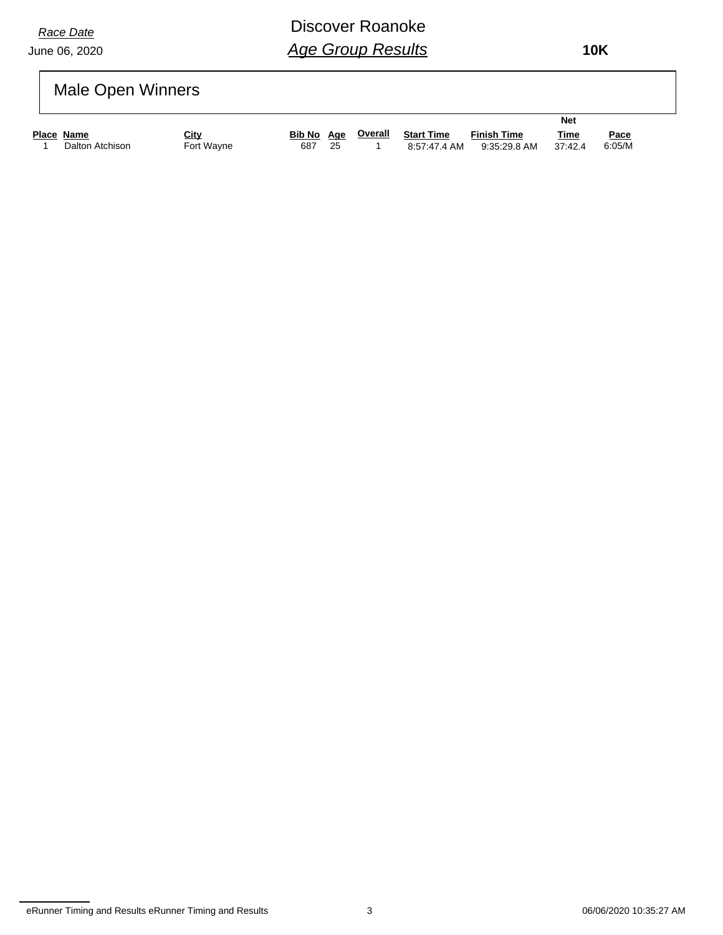June 06, 2020

# Discover Roanoke *Age Group Results*

 **10K**

# Male Open Winners

|            |                 |            |            |    |         |                   |                    | <b>Net</b> |             |  |
|------------|-----------------|------------|------------|----|---------|-------------------|--------------------|------------|-------------|--|
| Place Name |                 | City       | Bib No Age |    | Overall | <b>Start Time</b> | <b>Finish Time</b> | Time       | <u>Pace</u> |  |
|            | Dalton Atchison | Fort Wayne | 687        | 25 |         | 8:57:47.4 AM      | 9:35:29.8 AM       | 37:42.4    | 6:05/M      |  |